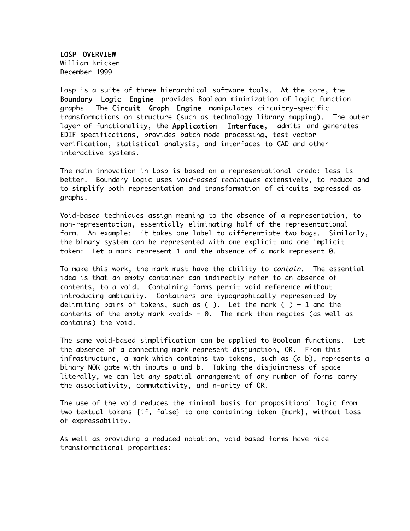LOSP OVERVIEW William Bricken December 1999

Losp is a suite of three hierarchical software tools. At the core, the Boundary Logic Engine provides Boolean minimization of logic function graphs. The Circuit Graph Engine manipulates circuitry-specific transformations on structure (such as technology library mapping). The outer layer of functionality, the Application Interface, admits and generates EDIF specifications, provides batch-mode processing, test-vector verification, statistical analysis, and interfaces to CAD and other interactive systems.

The main innovation in Losp is based on a representational credo: less is better. Boundary Logic uses *void-based techniques* extensively, to reduce and to simplify both representation and transformation of circuits expressed as graphs.

Void-based techniques assign meaning to the absence of a representation, to non-representation, essentially eliminating half of the representational form. An example: it takes one label to differentiate two bags. Similarly, the binary system can be represented with one explicit and one implicit token: Let a mark represent 1 and the absence of a mark represent 0.

To make this work, the mark must have the ability to *contain*. The essential idea is that an empty container can indirectly refer to an absence of contents, to a void. Containing forms permit void reference without introducing ambiguity. Containers are typographically represented by delimiting pairs of tokens, such as ( ). Let the mark ( ) = 1 and the contents of the empty mark  $\langle \text{void} \rangle = 0$ . The mark then negates (as well as contains) the void.

The same void-based simplification can be applied to Boolean functions. Let the absence of a connecting mark represent disjunction, OR. From this infrastructure, a mark which contains two tokens, such as (a b), represents a binary NOR gate with inputs a and b. Taking the disjointness of space literally, we can let any spatial arrangement of any number of forms carry the associativity, commutativity, and n-arity of OR.

The use of the void reduces the minimal basis for propositional logic from two textual tokens {if, false} to one containing token {mark}, without loss of expressability.

As well as providing a reduced notation, void-based forms have nice transformational properties: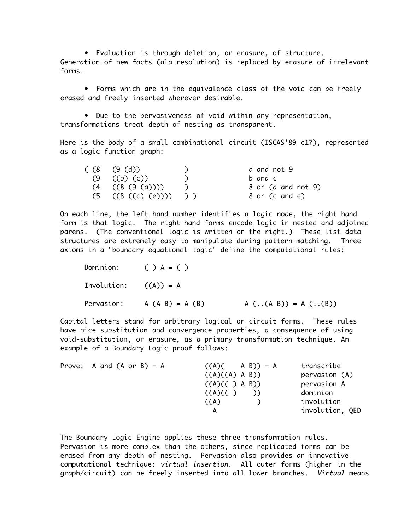• Evaluation is through deletion, or erasure, of structure. Generation of new facts (ala resolution) is replaced by erasure of irrelevant forms.

• Forms which are in the equivalence class of the void can be freely erased and freely inserted wherever desirable.

• Due to the pervasiveness of void within any representation, transformations treat depth of nesting as transparent.

Here is the body of a small combinational circuit (ISCAS'89 c17), represented as a logic function graph:

| (8 (9 (d)))                | d and not 9        |
|----------------------------|--------------------|
| $(9 \t(b) (c))$            | b and c            |
| $(4$ $((8 (9 (a))))$       | 8 or (a and not 9) |
| $(5$ $((8$ $((c)$ $(e))))$ | 8 or (c and e)     |

On each line, the left hand number identifies a logic node, the right hand form is that logic. The right-hand forms encode logic in nested and adjoined parens. (The conventional logic is written on the right.) These list data structures are extremely easy to manipulate during pattern-matching. Three axioms in a "boundary equational logic" define the computational rules:

|                         | Dominion: $(\ )$ $A = (\ )$  |                       |
|-------------------------|------------------------------|-----------------------|
| Involution: $((A)) = A$ |                              |                       |
|                         | Pervasion: $A (A B) = A (B)$ | $A$ ((A B)) = A ((B)) |

Capital letters stand for arbitrary logical or circuit forms. These rules have nice substitution and convergence properties, a consequence of using void-substitution, or erasure, as a primary transformation technique. An example of a Boundary Logic proof follows:

| Prove: A and $(A \text{ or } B) = A$ | $((A) ( A B)) = A$ | transcribe      |
|--------------------------------------|--------------------|-----------------|
|                                      | ((A)((A) A B))     | pervasion (A)   |
|                                      | ((A)(( ) A B))     | pervasion A     |
|                                      | (A)(()             | dominion        |
|                                      | $(\wedge)$         | involution      |
|                                      | А                  | involution, QED |

The Boundary Logic Engine applies these three transformation rules. Pervasion is more complex than the others, since replicated forms can be erased from any depth of nesting. Pervasion also provides an innovative computational technique: virtual insertion. All outer forms (higher in the graph/circuit) can be freely inserted into all lower branches. Virtual means